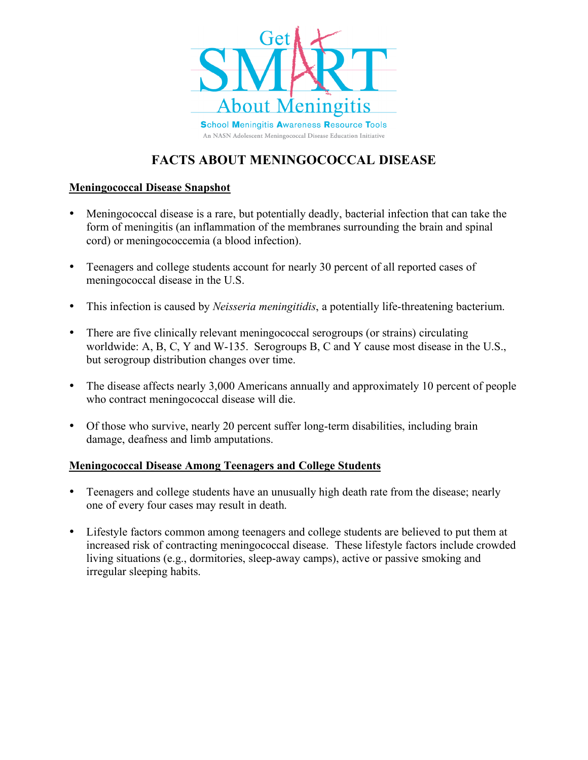

# **FACTS ABOUT MENINGOCOCCAL DISEASE**

## **Meningococcal Disease Snapshot**

- Meningococcal disease is a rare, but potentially deadly, bacterial infection that can take the form of meningitis (an inflammation of the membranes surrounding the brain and spinal cord) or meningococcemia (a blood infection).
- Teenagers and college students account for nearly 30 percent of all reported cases of meningococcal disease in the U.S.
- This infection is caused by *Neisseria meningitidis*, a potentially life-threatening bacterium.
- There are five clinically relevant meningococcal serogroups (or strains) circulating worldwide: A, B, C, Y and W-135. Serogroups B, C and Y cause most disease in the U.S., but serogroup distribution changes over time.
- The disease affects nearly 3,000 Americans annually and approximately 10 percent of people who contract meningococcal disease will die.
- Of those who survive, nearly 20 percent suffer long-term disabilities, including brain damage, deafness and limb amputations.

### **Meningococcal Disease Among Teenagers and College Students**

- Teenagers and college students have an unusually high death rate from the disease; nearly one of every four cases may result in death.
- Lifestyle factors common among teenagers and college students are believed to put them at increased risk of contracting meningococcal disease. These lifestyle factors include crowded living situations (e.g., dormitories, sleep-away camps), active or passive smoking and irregular sleeping habits.